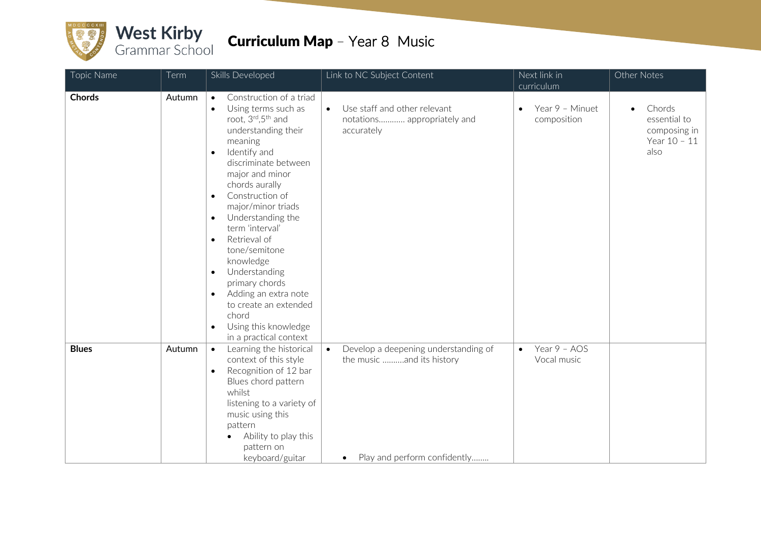

| Topic Name   | Term   | Skills Developed                                                                                                                                                                                                                                                                                                                                                                                                                                                                                                                                                                                   | Link to NC Subject Content                                                                                                  | Next link in                                 | Other Notes                                                                 |
|--------------|--------|----------------------------------------------------------------------------------------------------------------------------------------------------------------------------------------------------------------------------------------------------------------------------------------------------------------------------------------------------------------------------------------------------------------------------------------------------------------------------------------------------------------------------------------------------------------------------------------------------|-----------------------------------------------------------------------------------------------------------------------------|----------------------------------------------|-----------------------------------------------------------------------------|
| Chords       | Autumn | Construction of a triad<br>$\bullet$<br>Using terms such as<br>$\bullet$<br>root, 3rd, 5 <sup>th</sup> and<br>understanding their<br>meaning<br>Identify and<br>$\bullet$<br>discriminate between<br>major and minor<br>chords aurally<br>Construction of<br>$\bullet$<br>major/minor triads<br>Understanding the<br>$\bullet$<br>term 'interval'<br>Retrieval of<br>$\bullet$<br>tone/semitone<br>knowledge<br>Understanding<br>$\bullet$<br>primary chords<br>Adding an extra note<br>$\bullet$<br>to create an extended<br>chord<br>Using this knowledge<br>$\bullet$<br>in a practical context | Use staff and other relevant<br>$\bullet$<br>notations appropriately and<br>accurately                                      | curriculum<br>Year 9 - Minuet<br>composition | Chords<br>$\bullet$<br>essential to<br>composing in<br>Year 10 - 11<br>also |
| <b>Blues</b> | Autumn | Learning the historical<br>$\bullet$<br>context of this style<br>Recognition of 12 bar<br>$\bullet$<br>Blues chord pattern<br>whilst<br>listening to a variety of<br>music using this<br>pattern<br>Ability to play this<br>$\bullet$<br>pattern on<br>keyboard/guitar                                                                                                                                                                                                                                                                                                                             | Develop a deepening understanding of<br>$\bullet$<br>the music and its history<br>Play and perform confidently<br>$\bullet$ | Year 9 - AOS<br>$\bullet$<br>Vocal music     |                                                                             |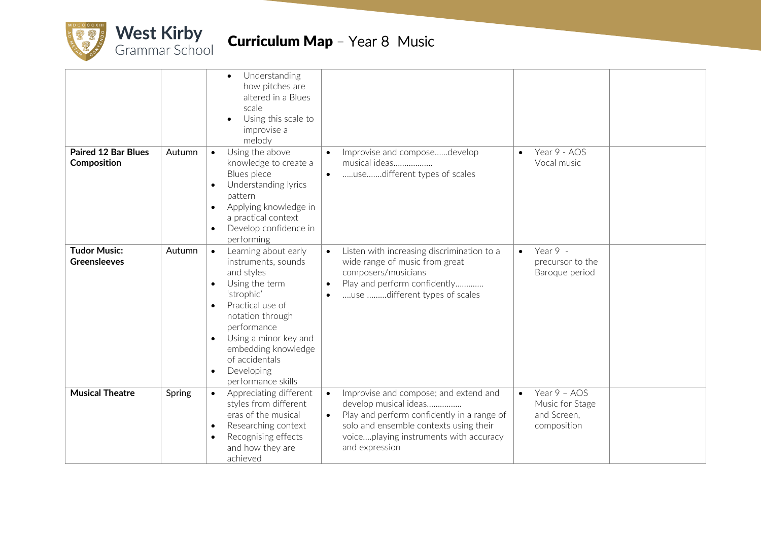

| <b>Paired 12 Bar Blues</b>                 | Autumn | Understanding<br>$\bullet$<br>how pitches are<br>altered in a Blues<br>scale<br>Using this scale to<br>improvise a<br>melody<br>Using the above<br>$\bullet$                                                                                                                     |                                     | Improvise and composedevelop                                                                                                                                                                                       | $\bullet$ | Year 9 - AOS                                                  |  |
|--------------------------------------------|--------|----------------------------------------------------------------------------------------------------------------------------------------------------------------------------------------------------------------------------------------------------------------------------------|-------------------------------------|--------------------------------------------------------------------------------------------------------------------------------------------------------------------------------------------------------------------|-----------|---------------------------------------------------------------|--|
| Composition                                |        | knowledge to create a<br>Blues piece<br>Understanding lyrics<br>pattern<br>Applying knowledge in<br>$\bullet$<br>a practical context<br>Develop confidence in<br>performing                                                                                                      | $\bullet$                           | musical ideas<br>usedifferent types of scales                                                                                                                                                                      |           | Vocal music                                                   |  |
| <b>Tudor Music:</b><br><b>Greensleeves</b> | Autumn | Learning about early<br>$\bullet$<br>instruments, sounds<br>and styles<br>Using the term<br>$\bullet$<br>'strophic'<br>Practical use of<br>notation through<br>performance<br>Using a minor key and<br>embedding knowledge<br>of accidentals<br>Developing<br>performance skills | $\bullet$<br>$\bullet$<br>$\bullet$ | Listen with increasing discrimination to a<br>wide range of music from great<br>composers/musicians<br>Play and perform confidently<br>use different types of scales                                               | $\bullet$ | Year 9 -<br>precursor to the<br>Baroque period                |  |
| <b>Musical Theatre</b>                     | Spring | Appreciating different<br>styles from different<br>eras of the musical<br>Researching context<br>$\bullet$<br>Recognising effects<br>and how they are<br>achieved                                                                                                                | $\bullet$<br>$\bullet$              | Improvise and compose; and extend and<br>develop musical ideas<br>Play and perform confidently in a range of<br>solo and ensemble contexts using their<br>voiceplaying instruments with accuracy<br>and expression | $\bullet$ | Year 9 - AOS<br>Music for Stage<br>and Screen,<br>composition |  |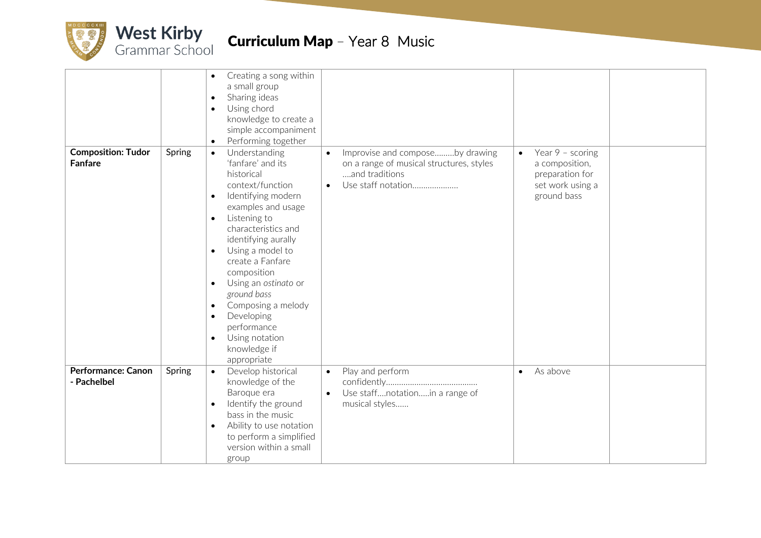

| <b>Composition: Tudor</b>                | Spring | Creating a song within<br>$\bullet$<br>a small group<br>Sharing ideas<br>$\bullet$<br>Using chord<br>$\bullet$<br>knowledge to create a<br>simple accompaniment<br>Performing together<br>$\bullet$<br>Understanding<br>$\bullet$                                                                                                                                                                                                                          | $\bullet$              | Improvise and composeby drawing                                                  | $\bullet$ | Year $9 -$ scoring                                                   |  |
|------------------------------------------|--------|------------------------------------------------------------------------------------------------------------------------------------------------------------------------------------------------------------------------------------------------------------------------------------------------------------------------------------------------------------------------------------------------------------------------------------------------------------|------------------------|----------------------------------------------------------------------------------|-----------|----------------------------------------------------------------------|--|
| <b>Fanfare</b>                           |        | 'fanfare' and its<br>historical<br>context/function<br>Identifying modern<br>$\bullet$<br>examples and usage<br>Listening to<br>$\bullet$<br>characteristics and<br>identifying aurally<br>Using a model to<br>$\bullet$<br>create a Fanfare<br>composition<br>Using an ostinato or<br>$\bullet$<br>ground bass<br>Composing a melody<br>$\bullet$<br>Developing<br>$\bullet$<br>performance<br>Using notation<br>$\bullet$<br>knowledge if<br>appropriate | $\bullet$              | on a range of musical structures, styles<br>and traditions<br>Use staff notation |           | a composition,<br>preparation for<br>set work using a<br>ground bass |  |
| <b>Performance: Canon</b><br>- Pachelbel | Spring | Develop historical<br>$\bullet$<br>knowledge of the<br>Baroque era<br>Identify the ground<br>$\bullet$<br>bass in the music<br>Ability to use notation<br>$\bullet$<br>to perform a simplified<br>version within a small<br>group                                                                                                                                                                                                                          | $\bullet$<br>$\bullet$ | Play and perform<br>Use staffnotationin a range of<br>musical styles             | $\bullet$ | As above                                                             |  |